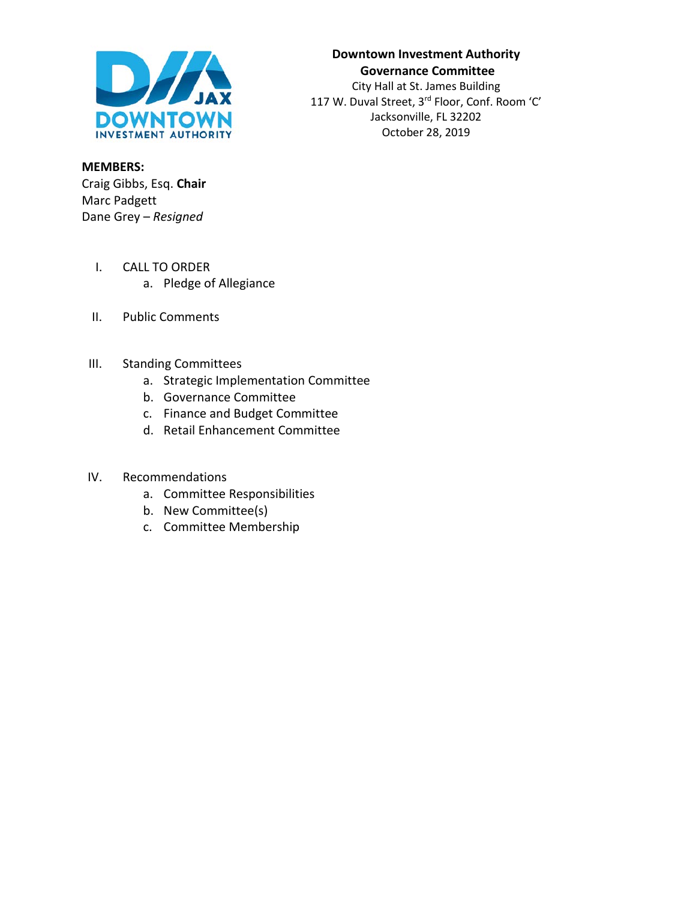

### **Downtown Investment Authority Governance Committee** City Hall at St. James Building 117 W. Duval Street, 3rd Floor, Conf. Room 'C' Jacksonville, FL 32202 October 28, 2019

**MEMBERS:** Craig Gibbs, Esq. **Chair** Marc Padgett Dane Grey – *Resigned*

- I. CALL TO ORDER
	- a. Pledge of Allegiance
- II. Public Comments
- III. Standing Committees
	- a. Strategic Implementation Committee
	- b. Governance Committee
	- c. Finance and Budget Committee
	- d. Retail Enhancement Committee

#### IV. Recommendations

- a. Committee Responsibilities
- b. New Committee(s)
- c. Committee Membership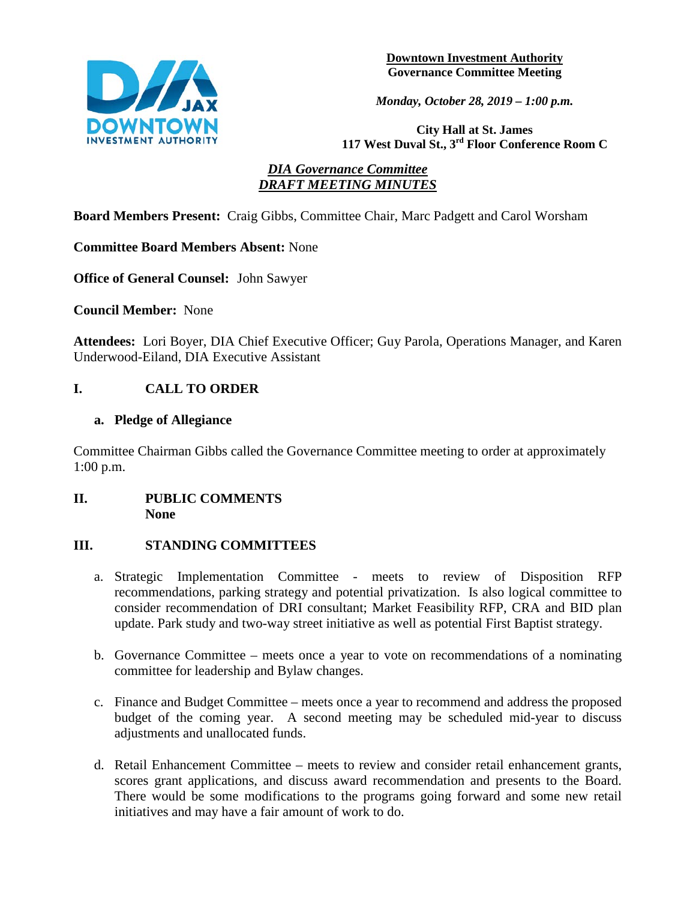

**Downtown Investment Authority Governance Committee Meeting** 

*Monday, October 28, 2019 – 1:00 p.m.* 

**City Hall at St. James 117 West Duval St., 3rd Floor Conference Room C**

### *DIA Governance Committee DRAFT MEETING MINUTES*

**Board Members Present:** Craig Gibbs, Committee Chair, Marc Padgett and Carol Worsham

**Committee Board Members Absent:** None

**Office of General Counsel:** John Sawyer

**Council Member:** None

**Attendees:** Lori Boyer, DIA Chief Executive Officer; Guy Parola, Operations Manager, and Karen Underwood-Eiland, DIA Executive Assistant

# **I. CALL TO ORDER**

### **a. Pledge of Allegiance**

Committee Chairman Gibbs called the Governance Committee meeting to order at approximately 1:00 p.m.

### **II. PUBLIC COMMENTS None**

### **III. STANDING COMMITTEES**

- a. Strategic Implementation Committee meets to review of Disposition RFP recommendations, parking strategy and potential privatization. Is also logical committee to consider recommendation of DRI consultant; Market Feasibility RFP, CRA and BID plan update. Park study and two-way street initiative as well as potential First Baptist strategy.
- b. Governance Committee meets once a year to vote on recommendations of a nominating committee for leadership and Bylaw changes.
- c. Finance and Budget Committee meets once a year to recommend and address the proposed budget of the coming year. A second meeting may be scheduled mid-year to discuss adjustments and unallocated funds.
- d. Retail Enhancement Committee meets to review and consider retail enhancement grants, scores grant applications, and discuss award recommendation and presents to the Board. There would be some modifications to the programs going forward and some new retail initiatives and may have a fair amount of work to do.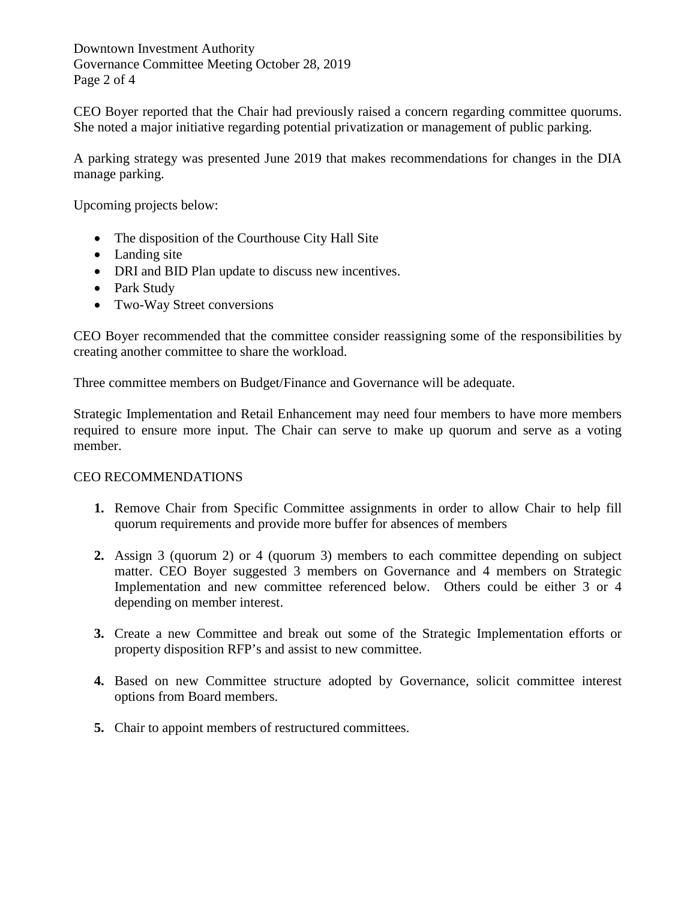Downtown Investment Authority Governance Committee Meeting October 28, 2019 Page 2 of 4

CEO Boyer reported that the Chair had previously raised a concern regarding committee quorums. She noted a major initiative regarding potential privatization or management of public parking.

A parking strategy was presented June 2019 that makes recommendations for changes in the DIA manage parking.

Upcoming projects below:

- The disposition of the Courthouse City Hall Site
- Landing site
- DRI and BID Plan update to discuss new incentives.
- Park Study
- Two-Way Street conversions

CEO Boyer recommended that the committee consider reassigning some of the responsibilities by creating another committee to share the workload.

Three committee members on Budget/Finance and Governance will be adequate.

Strategic Implementation and Retail Enhancement may need four members to have more members required to ensure more input. The Chair can serve to make up quorum and serve as a voting member.

#### CEO RECOMMENDATIONS

- **1.** Remove Chair from Specific Committee assignments in order to allow Chair to help fill quorum requirements and provide more buffer for absences of members
- **2.** Assign 3 (quorum 2) or 4 (quorum 3) members to each committee depending on subject matter. CEO Boyer suggested 3 members on Governance and 4 members on Strategic Implementation and new committee referenced below. Others could be either 3 or 4 depending on member interest.
- **3.** Create a new Committee and break out some of the Strategic Implementation efforts or property disposition RFP's and assist to new committee.
- **4.** Based on new Committee structure adopted by Governance, solicit committee interest options from Board members.
- **5.** Chair to appoint members of restructured committees.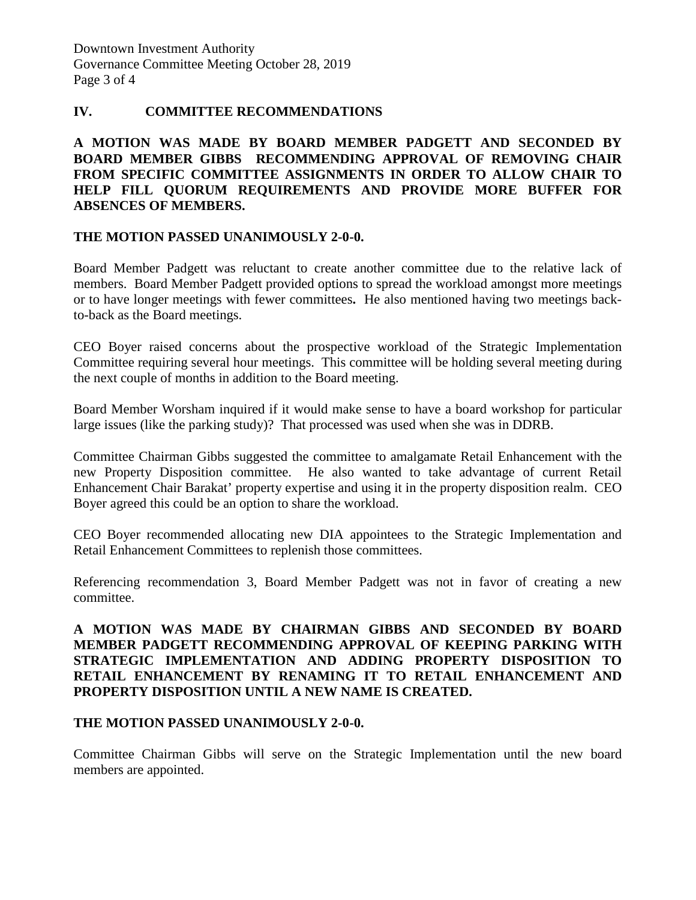Downtown Investment Authority Governance Committee Meeting October 28, 2019 Page 3 of 4

#### **IV. COMMITTEE RECOMMENDATIONS**

### **A MOTION WAS MADE BY BOARD MEMBER PADGETT AND SECONDED BY BOARD MEMBER GIBBS RECOMMENDING APPROVAL OF REMOVING CHAIR FROM SPECIFIC COMMITTEE ASSIGNMENTS IN ORDER TO ALLOW CHAIR TO HELP FILL QUORUM REQUIREMENTS AND PROVIDE MORE BUFFER FOR ABSENCES OF MEMBERS.**

#### **THE MOTION PASSED UNANIMOUSLY 2-0-0.**

Board Member Padgett was reluctant to create another committee due to the relative lack of members. Board Member Padgett provided options to spread the workload amongst more meetings or to have longer meetings with fewer committees**.** He also mentioned having two meetings backto-back as the Board meetings.

CEO Boyer raised concerns about the prospective workload of the Strategic Implementation Committee requiring several hour meetings. This committee will be holding several meeting during the next couple of months in addition to the Board meeting.

Board Member Worsham inquired if it would make sense to have a board workshop for particular large issues (like the parking study)? That processed was used when she was in DDRB.

Committee Chairman Gibbs suggested the committee to amalgamate Retail Enhancement with the new Property Disposition committee. He also wanted to take advantage of current Retail Enhancement Chair Barakat' property expertise and using it in the property disposition realm. CEO Boyer agreed this could be an option to share the workload.

CEO Boyer recommended allocating new DIA appointees to the Strategic Implementation and Retail Enhancement Committees to replenish those committees.

Referencing recommendation 3, Board Member Padgett was not in favor of creating a new committee.

### **A MOTION WAS MADE BY CHAIRMAN GIBBS AND SECONDED BY BOARD MEMBER PADGETT RECOMMENDING APPROVAL OF KEEPING PARKING WITH STRATEGIC IMPLEMENTATION AND ADDING PROPERTY DISPOSITION TO RETAIL ENHANCEMENT BY RENAMING IT TO RETAIL ENHANCEMENT AND PROPERTY DISPOSITION UNTIL A NEW NAME IS CREATED.**

#### **THE MOTION PASSED UNANIMOUSLY 2-0-0.**

Committee Chairman Gibbs will serve on the Strategic Implementation until the new board members are appointed.